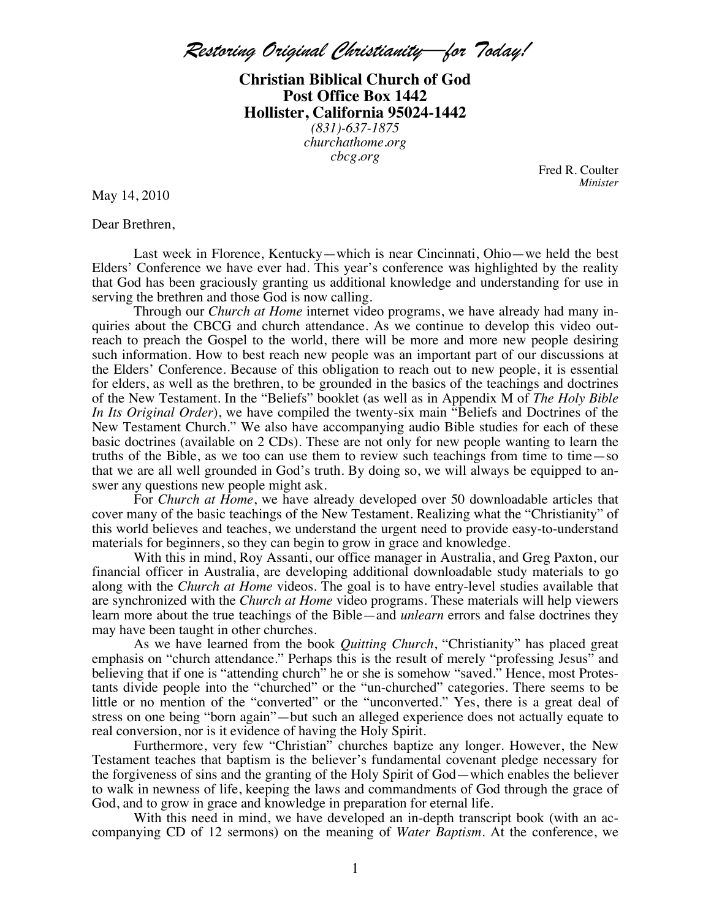*Restoring Original Christianity—for Today!*

**Christian Biblical Church of God Post Office Box 1442 Hollister, California 95024-1442** *(831)-637-1875 churchathome.org cbcg.org*

> Fred R. Coulter *Minister*

May 14, 2010

Dear Brethren,

Last week in Florence, Kentucky—which is near Cincinnati, Ohio—we held the best Elders' Conference we have ever had. This year's conference was highlighted by the reality that God has been graciously granting us additional knowledge and understanding for use in serving the brethren and those God is now calling.

Through our *Church at Home* internet video programs, we have already had many inquiries about the CBCG and church attendance. As we continue to develop this video outreach to preach the Gospel to the world, there will be more and more new people desiring such information. How to best reach new people was an important part of our discussions at the Elders' Conference. Because of this obligation to reach out to new people, it is essential for elders, as well as the brethren, to be grounded in the basics of the teachings and doctrines of the New Testament. In the "Beliefs" booklet (as well as in Appendix M of *The Holy Bible In Its Original Order*), we have compiled the twenty-six main "Beliefs and Doctrines of the New Testament Church." We also have accompanying audio Bible studies for each of these basic doctrines (available on 2 CDs). These are not only for new people wanting to learn the truths of the Bible, as we too can use them to review such teachings from time to time—so that we are all well grounded in God's truth. By doing so, we will always be equipped to answer any questions new people might ask.

For *Church at Home*, we have already developed over 50 downloadable articles that cover many of the basic teachings of the New Testament. Realizing what the "Christianity" of this world believes and teaches, we understand the urgent need to provide easy-to-understand materials for beginners, so they can begin to grow in grace and knowledge.

With this in mind, Roy Assanti, our office manager in Australia, and Greg Paxton, our financial officer in Australia, are developing additional downloadable study materials to go along with the *Church at Home* videos. The goal is to have entry-level studies available that are synchronized with the *Church at Home* video programs. These materials will help viewers learn more about the true teachings of the Bible—and *unlearn* errors and false doctrines they may have been taught in other churches.

As we have learned from the book *Quitting Church*, "Christianity" has placed great emphasis on "church attendance." Perhaps this is the result of merely "professing Jesus" and believing that if one is "attending church" he or she is somehow "saved." Hence, most Protestants divide people into the "churched" or the "un-churched" categories. There seems to be little or no mention of the "converted" or the "unconverted." Yes, there is a great deal of stress on one being "born again"—but such an alleged experience does not actually equate to real conversion, nor is it evidence of having the Holy Spirit.

Furthermore, very few "Christian" churches baptize any longer. However, the New Testament teaches that baptism is the believer's fundamental covenant pledge necessary for the forgiveness of sins and the granting of the Holy Spirit of God—which enables the believer to walk in newness of life, keeping the laws and commandments of God through the grace of God, and to grow in grace and knowledge in preparation for eternal life.

With this need in mind, we have developed an in-depth transcript book (with an accompanying CD of 12 sermons) on the meaning of *Water Baptism*. At the conference, we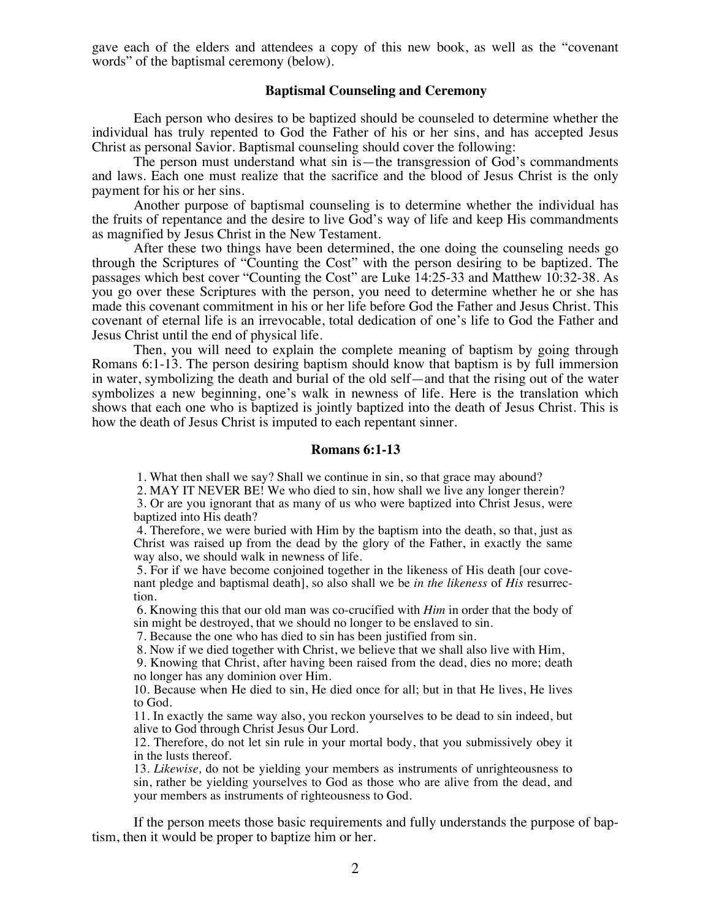gave each of the elders and attendees a copy of this new book, as well as the "covenant words" of the baptismal ceremony (below).

## **Baptismal Counseling and Ceremony**

Each person who desires to be baptized should be counseled to determine whether the individual has truly repented to God the Father of his or her sins, and has accepted Jesus Christ as personal Savior. Baptismal counseling should cover the following:

The person must understand what sin is—the transgression of God's commandments and laws. Each one must realize that the sacrifice and the blood of Jesus Christ is the only payment for his or her sins.

Another purpose of baptismal counseling is to determine whether the individual has the fruits of repentance and the desire to live God's way of life and keep His commandments as magnified by Jesus Christ in the New Testament.

After these two things have been determined, the one doing the counseling needs go through the Scriptures of "Counting the Cost" with the person desiring to be baptized. The passages which best cover "Counting the Cost" are Luke 14:25-33 and Matthew 10:32-38. As you go over these Scriptures with the person, you need to determine whether he or she has made this covenant commitment in his or her life before God the Father and Jesus Christ. This covenant of eternal life is an irrevocable, total dedication of one's life to God the Father and Jesus Christ until the end of physical life.

Then, you will need to explain the complete meaning of baptism by going through Romans 6:1-13. The person desiring baptism should know that baptism is by full immersion in water, symbolizing the death and burial of the old self—and that the rising out of the water symbolizes a new beginning, one's walk in newness of life. Here is the translation which shows that each one who is baptized is jointly baptized into the death of Jesus Christ. This is how the death of Jesus Christ is imputed to each repentant sinner.

## **Romans 6:1-13**

1. What then shall we say? Shall we continue in sin, so that grace may abound?

 2. MAY IT NEVER BE! We who died to sin, how shall we live any longer therein? 3. Or are you ignorant that as many of us who were baptized into Christ Jesus, were baptized into His death?

 4. Therefore, we were buried with Him by the baptism into the death, so that, just as Christ was raised up from the dead by the glory of the Father, in exactly the same way also, we should walk in newness of life.

 5. For if we have become conjoined together in the likeness of His death [our covenant pledge and baptismal death], so also shall we be *in the likeness* of *His* resurrection.

 6. Knowing this that our old man was co-crucified with *Him* in order that the body of sin might be destroyed, that we should no longer to be enslaved to sin.

7. Because the one who has died to sin has been justified from sin.

8. Now if we died together with Christ, we believe that we shall also live with Him,

 9. Knowing that Christ, after having been raised from the dead, dies no more; death no longer has any dominion over Him.

10. Because when He died to sin, He died once for all; but in that He lives, He lives to God.

11. In exactly the same way also, you reckon yourselves to be dead to sin indeed, but alive to God through Christ Jesus Our Lord.

12. Therefore, do not let sin rule in your mortal body, that you submissively obey it in the lusts thereof.

13. *Likewise,* do not be yielding your members as instruments of unrighteousness to sin, rather be yielding yourselves to God as those who are alive from the dead, and your members as instruments of righteousness to God.

If the person meets those basic requirements and fully understands the purpose of baptism, then it would be proper to baptize him or her.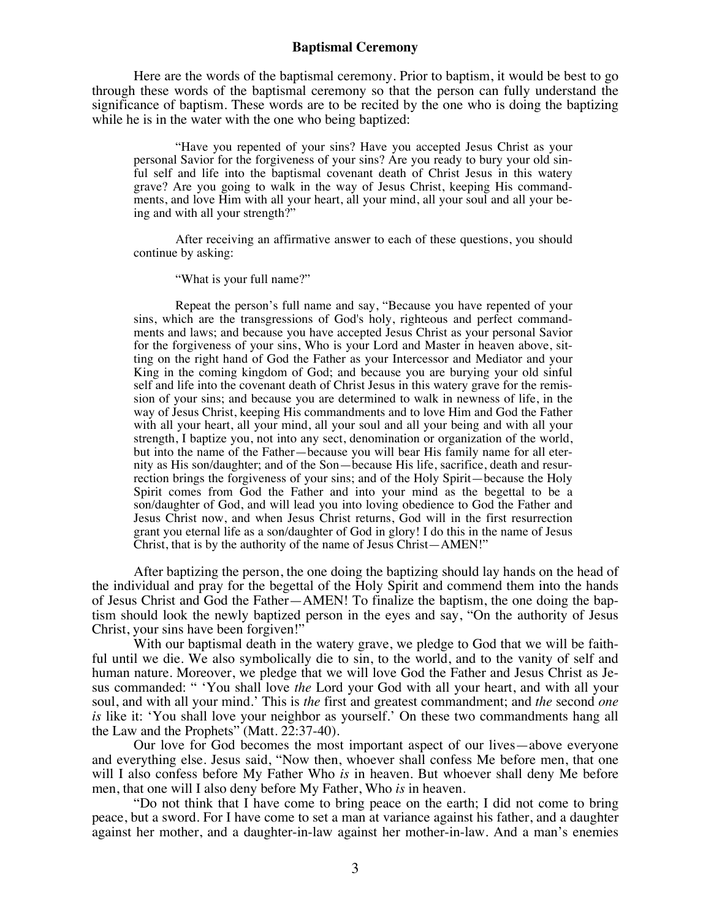### **Baptismal Ceremony**

Here are the words of the baptismal ceremony. Prior to baptism, it would be best to go through these words of the baptismal ceremony so that the person can fully understand the significance of baptism. These words are to be recited by the one who is doing the baptizing while he is in the water with the one who being baptized:

"Have you repented of your sins? Have you accepted Jesus Christ as your personal Savior for the forgiveness of your sins? Are you ready to bury your old sinful self and life into the baptismal covenant death of Christ Jesus in this watery grave? Are you going to walk in the way of Jesus Christ, keeping His commandments, and love Him with all your heart, all your mind, all your soul and all your being and with all your strength?"

After receiving an affirmative answer to each of these questions, you should continue by asking:

"What is your full name?"

Repeat the person's full name and say, "Because you have repented of your sins, which are the transgressions of God's holy, righteous and perfect commandments and laws; and because you have accepted Jesus Christ as your personal Savior for the forgiveness of your sins, Who is your Lord and Master in heaven above, sitting on the right hand of God the Father as your Intercessor and Mediator and your King in the coming kingdom of God; and because you are burying your old sinful self and life into the covenant death of Christ Jesus in this watery grave for the remission of your sins; and because you are determined to walk in newness of life, in the way of Jesus Christ, keeping His commandments and to love Him and God the Father with all your heart, all your mind, all your soul and all your being and with all your strength, I baptize you, not into any sect, denomination or organization of the world, but into the name of the Father—because you will bear His family name for all eternity as His son/daughter; and of the Son—because His life, sacrifice, death and resurrection brings the forgiveness of your sins; and of the Holy Spirit—because the Holy Spirit comes from God the Father and into your mind as the begettal to be a son/daughter of God, and will lead you into loving obedience to God the Father and Jesus Christ now, and when Jesus Christ returns, God will in the first resurrection grant you eternal life as a son/daughter of God in glory! I do this in the name of Jesus Christ, that is by the authority of the name of Jesus Christ—AMEN!"

After baptizing the person, the one doing the baptizing should lay hands on the head of the individual and pray for the begettal of the Holy Spirit and commend them into the hands of Jesus Christ and God the Father—AMEN! To finalize the baptism, the one doing the baptism should look the newly baptized person in the eyes and say, "On the authority of Jesus Christ, your sins have been forgiven!"

With our baptismal death in the watery grave, we pledge to God that we will be faithful until we die. We also symbolically die to sin, to the world, and to the vanity of self and human nature. Moreover, we pledge that we will love God the Father and Jesus Christ as Jesus commanded: " 'You shall love *the* Lord your God with all your heart, and with all your soul, and with all your mind.' This is *the* first and greatest commandment; and *the* second *one is* like it: 'You shall love your neighbor as yourself.' On these two commandments hang all the Law and the Prophets" (Matt. 22:37-40).

Our love for God becomes the most important aspect of our lives—above everyone and everything else. Jesus said, "Now then, whoever shall confess Me before men, that one will I also confess before My Father Who *is* in heaven. But whoever shall deny Me before men, that one will I also deny before My Father, Who *is* in heaven.

"Do not think that I have come to bring peace on the earth; I did not come to bring peace, but a sword. For I have come to set a man at variance against his father, and a daughter against her mother, and a daughter-in-law against her mother-in-law. And a man's enemies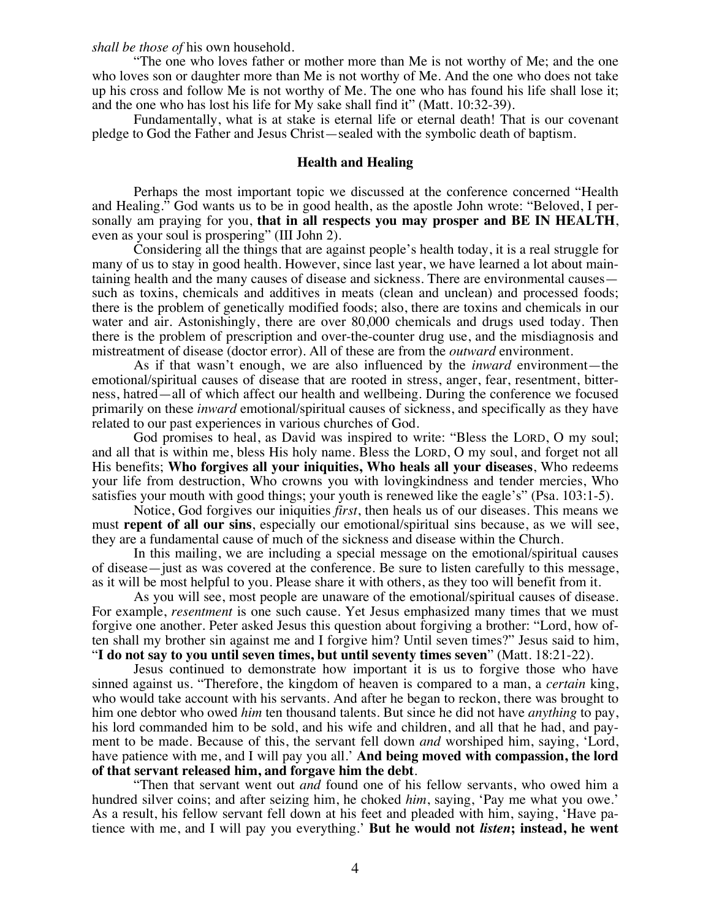*shall be those of* his own household.

"The one who loves father or mother more than Me is not worthy of Me; and the one who loves son or daughter more than Me is not worthy of Me. And the one who does not take up his cross and follow Me is not worthy of Me. The one who has found his life shall lose it; and the one who has lost his life for My sake shall find it" (Matt. 10:32-39).

Fundamentally, what is at stake is eternal life or eternal death! That is our covenant pledge to God the Father and Jesus Christ—sealed with the symbolic death of baptism.

#### **Health and Healing**

Perhaps the most important topic we discussed at the conference concerned "Health and Healing." God wants us to be in good health, as the apostle John wrote: "Beloved, I personally am praying for you, **that in all respects you may prosper and BE IN HEALTH**, even as your soul is prospering" (III John 2).

Considering all the things that are against people's health today, it is a real struggle for many of us to stay in good health. However, since last year, we have learned a lot about maintaining health and the many causes of disease and sickness. There are environmental causes such as toxins, chemicals and additives in meats (clean and unclean) and processed foods; there is the problem of genetically modified foods; also, there are toxins and chemicals in our water and air. Astonishingly, there are over 80,000 chemicals and drugs used today. Then there is the problem of prescription and over-the-counter drug use, and the misdiagnosis and mistreatment of disease (doctor error). All of these are from the *outward* environment.

As if that wasn't enough, we are also influenced by the *inward* environment—the emotional/spiritual causes of disease that are rooted in stress, anger, fear, resentment, bitterness, hatred—all of which affect our health and wellbeing. During the conference we focused primarily on these *inward* emotional/spiritual causes of sickness, and specifically as they have related to our past experiences in various churches of God.

God promises to heal, as David was inspired to write: "Bless the LORD, O my soul; and all that is within me, bless His holy name. Bless the LORD, O my soul, and forget not all His benefits; **Who forgives all your iniquities, Who heals all your diseases**, Who redeems your life from destruction, Who crowns you with lovingkindness and tender mercies, Who satisfies your mouth with good things; your youth is renewed like the eagle's" (Psa. 103:1-5).

Notice, God forgives our iniquities *first*, then heals us of our diseases. This means we must **repent of all our sins**, especially our emotional/spiritual sins because, as we will see, they are a fundamental cause of much of the sickness and disease within the Church.

In this mailing, we are including a special message on the emotional/spiritual causes of disease—just as was covered at the conference. Be sure to listen carefully to this message, as it will be most helpful to you. Please share it with others, as they too will benefit from it.

As you will see, most people are unaware of the emotional/spiritual causes of disease. For example, *resentment* is one such cause. Yet Jesus emphasized many times that we must forgive one another. Peter asked Jesus this question about forgiving a brother: "Lord, how often shall my brother sin against me and I forgive him? Until seven times?" Jesus said to him, "**I do not say to you until seven times, but until seventy times seven**" (Matt. 18:21-22).

Jesus continued to demonstrate how important it is us to forgive those who have sinned against us. "Therefore, the kingdom of heaven is compared to a man, a *certain* king, who would take account with his servants. And after he began to reckon, there was brought to him one debtor who owed *him* ten thousand talents. But since he did not have *anything* to pay, his lord commanded him to be sold, and his wife and children, and all that he had, and payment to be made. Because of this, the servant fell down *and* worshiped him, saying, 'Lord, have patience with me, and I will pay you all.' **And being moved with compassion, the lord of that servant released him, and forgave him the debt**.

"Then that servant went out *and* found one of his fellow servants, who owed him a hundred silver coins; and after seizing him, he choked *him*, saying, 'Pay me what you owe.' As a result, his fellow servant fell down at his feet and pleaded with him, saying, 'Have patience with me, and I will pay you everything.' **But he would not** *listen***; instead, he went**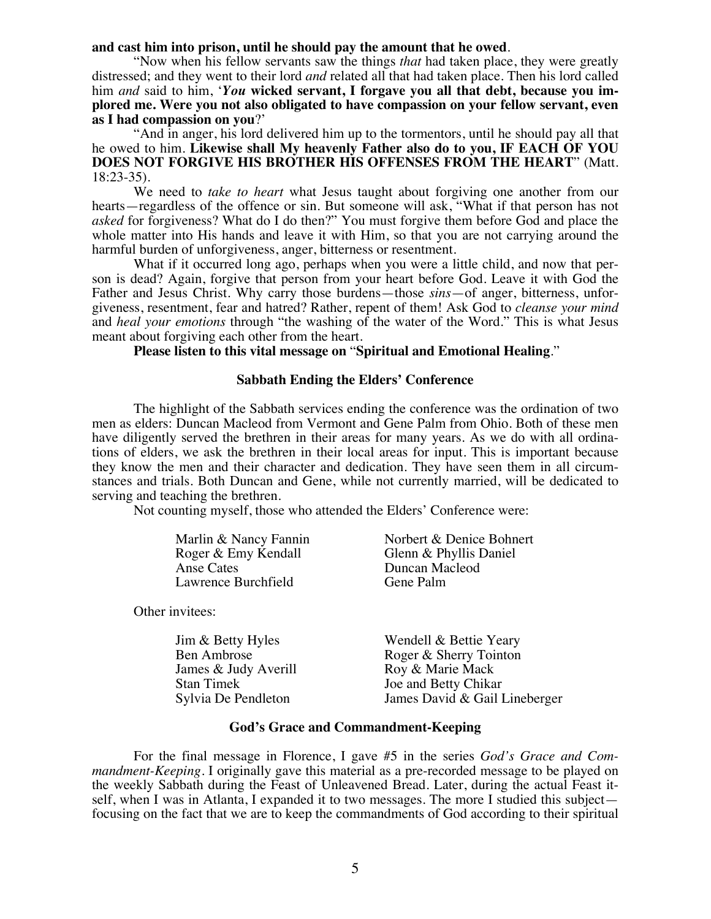# **and cast him into prison, until he should pay the amount that he owed**.

"Now when his fellow servants saw the things *that* had taken place, they were greatly distressed; and they went to their lord *and* related all that had taken place. Then his lord called him *and* said to him, '*You* **wicked servant, I forgave you all that debt, because you implored me. Were you not also obligated to have compassion on your fellow servant, even as I had compassion on you**?'

"And in anger, his lord delivered him up to the tormentors, until he should pay all that he owed to him. **Likewise shall My heavenly Father also do to you, IF EACH OF YOU DOES NOT FORGIVE HIS BROTHER HIS OFFENSES FROM THE HEART**" (Matt. 18:23-35).

We need to *take to heart* what Jesus taught about forgiving one another from our hearts—regardless of the offence or sin. But someone will ask, "What if that person has not *asked* for forgiveness? What do I do then?" You must forgive them before God and place the whole matter into His hands and leave it with Him, so that you are not carrying around the harmful burden of unforgiveness, anger, bitterness or resentment.

What if it occurred long ago, perhaps when you were a little child, and now that person is dead? Again, forgive that person from your heart before God. Leave it with God the Father and Jesus Christ. Why carry those burdens—those *sins*—of anger, bitterness, unforgiveness, resentment, fear and hatred? Rather, repent of them! Ask God to *cleanse your mind* and *heal your emotions* through "the washing of the water of the Word." This is what Jesus meant about forgiving each other from the heart.

**Please listen to this vital message on** "**Spiritual and Emotional Healing**."

### **Sabbath Ending the Elders' Conference**

The highlight of the Sabbath services ending the conference was the ordination of two men as elders: Duncan Macleod from Vermont and Gene Palm from Ohio. Both of these men have diligently served the brethren in their areas for many years. As we do with all ordinations of elders, we ask the brethren in their local areas for input. This is important because they know the men and their character and dedication. They have seen them in all circumstances and trials. Both Duncan and Gene, while not currently married, will be dedicated to serving and teaching the brethren.

Not counting myself, those who attended the Elders' Conference were:

| Marlin & Nancy Fannin | Norbert & Denice Bohnert |
|-----------------------|--------------------------|
| Roger & Emy Kendall   | Glenn & Phyllis Daniel   |
| Anse Cates            | Duncan Macleod           |
| Lawrence Burchfield   | Gene Palm                |

Other invitees:

| Wendell & Bettie Yeary        |
|-------------------------------|
| Roger & Sherry Tointon        |
| Roy & Marie Mack              |
| Joe and Betty Chikar          |
| James David & Gail Lineberger |
|                               |

# **God's Grace and Commandment-Keeping**

For the final message in Florence, I gave #5 in the series *God's Grace and Commandment-Keeping*. I originally gave this material as a pre-recorded message to be played on the weekly Sabbath during the Feast of Unleavened Bread. Later, during the actual Feast itself, when I was in Atlanta, I expanded it to two messages. The more I studied this subject focusing on the fact that we are to keep the commandments of God according to their spiritual